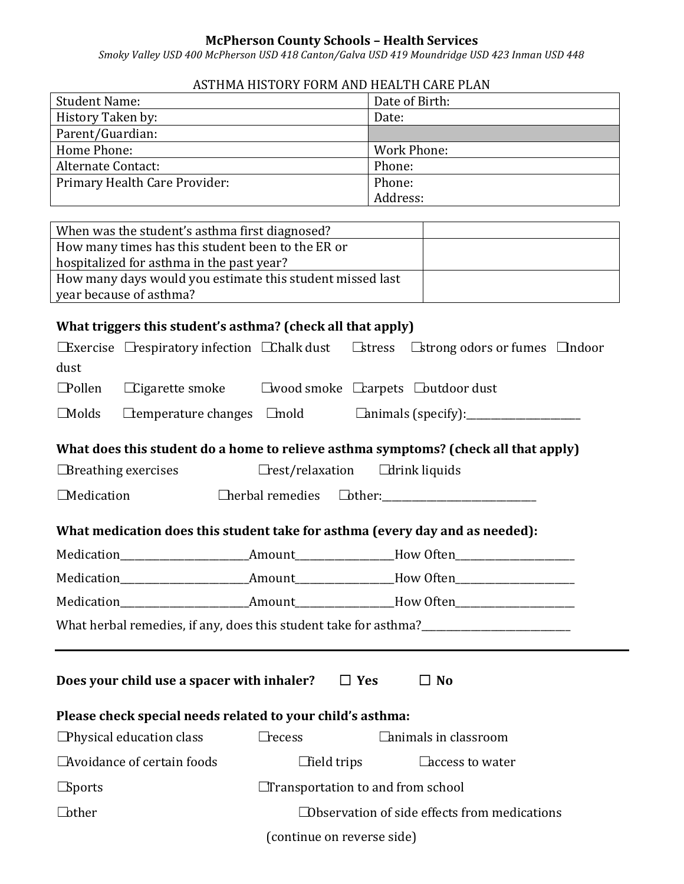## **McPherson County Schools – Health Services**

*Smoky Valley USD 400 McPherson USD 418 Canton/Galva USD 419 Moundridge USD 423 Inman USD 448*

## ASTHMA HISTORY FORM AND HEALTH CARE PLAN

| <b>Student Name:</b>          | Date of Birth: |
|-------------------------------|----------------|
| History Taken by:             | Date:          |
| Parent/Guardian:              |                |
| Home Phone:                   | Work Phone:    |
| Alternate Contact:            | Phone:         |
| Primary Health Care Provider: | Phone:         |
|                               | Address:       |

| When was the student's asthma first diagnosed?            |  |
|-----------------------------------------------------------|--|
| How many times has this student been to the ER or         |  |
| hospitalized for asthma in the past year?                 |  |
| How many days would you estimate this student missed last |  |
| year because of asthma?                                   |  |

## **What triggers this student's asthma? (check all that apply)**

|                                                                              |                                                                             |                                                     |                    | <b>Exercise</b> Exercise exponentially infection Ethalk dust Estress Estrong odors or fumes Endoor |  |  |  |  |
|------------------------------------------------------------------------------|-----------------------------------------------------------------------------|-----------------------------------------------------|--------------------|----------------------------------------------------------------------------------------------------|--|--|--|--|
| dust                                                                         |                                                                             |                                                     |                    |                                                                                                    |  |  |  |  |
| $\Box$ Pollen                                                                | $\Box$ Cigarette smoke $\Box$ wood smoke $\Box$ carpets $\Box$ butdoor dust |                                                     |                    |                                                                                                    |  |  |  |  |
| $\Box$ Molds                                                                 |                                                                             |                                                     |                    |                                                                                                    |  |  |  |  |
|                                                                              |                                                                             |                                                     |                    | What does this student do a home to relieve asthma symptoms? (check all that apply)                |  |  |  |  |
| $\Box$ Breathing exercises                                                   |                                                                             | $\Box$ rest/relaxation $\Box$ drink liquids         |                    |                                                                                                    |  |  |  |  |
|                                                                              | <b>Medication</b><br>Cherbal remedies Cother:                               |                                                     |                    |                                                                                                    |  |  |  |  |
| What medication does this student take for asthma (every day and as needed): |                                                                             |                                                     |                    |                                                                                                    |  |  |  |  |
|                                                                              |                                                                             |                                                     |                    |                                                                                                    |  |  |  |  |
|                                                                              |                                                                             |                                                     |                    |                                                                                                    |  |  |  |  |
|                                                                              |                                                                             |                                                     |                    |                                                                                                    |  |  |  |  |
|                                                                              |                                                                             |                                                     |                    |                                                                                                    |  |  |  |  |
|                                                                              |                                                                             |                                                     |                    |                                                                                                    |  |  |  |  |
| Does your child use a spacer with inhaler? $\Box$ Yes<br>$\Box$ No           |                                                                             |                                                     |                    |                                                                                                    |  |  |  |  |
| Please check special needs related to your child's asthma:                   |                                                                             |                                                     |                    |                                                                                                    |  |  |  |  |
|                                                                              | $\Box$ Physical education class                                             | $\Box$ recess                                       |                    | $\Box$ animals in classroom                                                                        |  |  |  |  |
|                                                                              | □ Avoidance of certain foods                                                |                                                     | $\Box$ field trips | □ access to water                                                                                  |  |  |  |  |
| $\Box$ Sports                                                                |                                                                             | $\Box$ Transportation to and from school            |                    |                                                                                                    |  |  |  |  |
| <b>Lother</b>                                                                |                                                                             | $\Box$ Observation of side effects from medications |                    |                                                                                                    |  |  |  |  |
|                                                                              | (continue on reverse side)                                                  |                                                     |                    |                                                                                                    |  |  |  |  |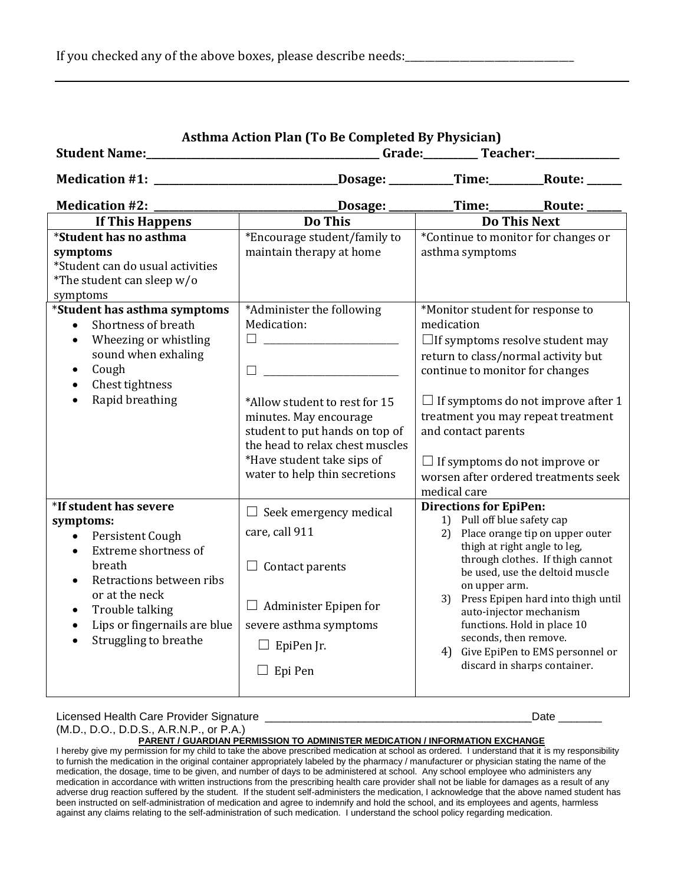|                                                                                                                                                                                                                                                                                      | <b>Asthma Action Plan (To Be Completed By Physician)</b>                                                                                                                                                                                |                                                                                                                                                                                                                                                                                                                                                                              |                                                                                                                                                                                                                                                                                                                                                                                             |  |  |  |
|--------------------------------------------------------------------------------------------------------------------------------------------------------------------------------------------------------------------------------------------------------------------------------------|-----------------------------------------------------------------------------------------------------------------------------------------------------------------------------------------------------------------------------------------|------------------------------------------------------------------------------------------------------------------------------------------------------------------------------------------------------------------------------------------------------------------------------------------------------------------------------------------------------------------------------|---------------------------------------------------------------------------------------------------------------------------------------------------------------------------------------------------------------------------------------------------------------------------------------------------------------------------------------------------------------------------------------------|--|--|--|
| Medication #1: _________________________________Dosage: ___________Time:_________Route: ______                                                                                                                                                                                       |                                                                                                                                                                                                                                         |                                                                                                                                                                                                                                                                                                                                                                              |                                                                                                                                                                                                                                                                                                                                                                                             |  |  |  |
|                                                                                                                                                                                                                                                                                      |                                                                                                                                                                                                                                         |                                                                                                                                                                                                                                                                                                                                                                              |                                                                                                                                                                                                                                                                                                                                                                                             |  |  |  |
| If This Happens                                                                                                                                                                                                                                                                      | <b>Do This</b>                                                                                                                                                                                                                          | <b>Do This Next</b>                                                                                                                                                                                                                                                                                                                                                          |                                                                                                                                                                                                                                                                                                                                                                                             |  |  |  |
| *Student has no asthma<br>symptoms<br>*Student can do usual activities<br>*The student can sleep w/o<br>symptoms                                                                                                                                                                     | *Encourage student/family to<br>maintain therapy at home                                                                                                                                                                                | *Continue to monitor for changes or<br>asthma symptoms                                                                                                                                                                                                                                                                                                                       |                                                                                                                                                                                                                                                                                                                                                                                             |  |  |  |
| *Student has asthma symptoms<br>Shortness of breath<br>Wheezing or whistling<br>$\bullet$<br>sound when exhaling<br>Cough<br>Chest tightness<br>$\bullet$<br>Rapid breathing<br>$\bullet$                                                                                            | *Administer the following<br>Medication:<br>*Allow student to rest for 15<br>minutes. May encourage<br>student to put hands on top of<br>the head to relax chest muscles<br>*Have student take sips of<br>water to help thin secretions | *Monitor student for response to<br>medication<br>$\Box$ If symptoms resolve student may<br>return to class/normal activity but<br>continue to monitor for changes<br>$\Box$ If symptoms do not improve after 1<br>treatment you may repeat treatment<br>and contact parents<br>$\Box$ If symptoms do not improve or<br>worsen after ordered treatments seek<br>medical care |                                                                                                                                                                                                                                                                                                                                                                                             |  |  |  |
| *If student has severe<br>symptoms:<br>Persistent Cough<br>$\bullet$<br>Extreme shortness of<br>$\bullet$<br>breath<br>Retractions between ribs<br>$\bullet$<br>or at the neck<br>Trouble talking<br>$\bullet$<br>Lips or fingernails are blue<br>$\bullet$<br>Struggling to breathe | $\Box$ Seek emergency medical<br>care, call 911<br>$\Box$ Contact parents<br>$\Box$ Administer Epipen for<br>severe asthma symptoms<br>$\Box$ EpiPen Jr.<br>$\Box$ Epi Pen                                                              | <b>Directions for EpiPen:</b>                                                                                                                                                                                                                                                                                                                                                | 1) Pull off blue safety cap<br>2) Place orange tip on upper outer<br>thigh at right angle to leg,<br>through clothes. If thigh cannot<br>be used, use the deltoid muscle<br>on upper arm.<br>3) Press Epipen hard into thigh until<br>auto-injector mechanism<br>functions. Hold in place 10<br>seconds, then remove.<br>4) Give EpiPen to EMS personnel or<br>discard in sharps container. |  |  |  |

Licensed Health Care Provider Signature \_\_\_\_\_\_\_\_\_\_\_\_\_\_\_\_\_\_\_\_\_\_\_\_\_\_\_\_\_\_\_\_\_\_\_\_\_\_\_\_\_\_\_Date \_\_\_\_\_\_\_

(M.D., D.O., D.D.S., A.R.N.P., or P.A.)

**PARENT / GUARDIAN PERMISSION TO ADMINISTER MEDICATION / INFORMATION EXCHANGE**

I hereby give my permission for my child to take the above prescribed medication at school as ordered. I understand that it is my responsibility to furnish the medication in the original container appropriately labeled by the pharmacy / manufacturer or physician stating the name of the medication, the dosage, time to be given, and number of days to be administered at school. Any school employee who administers any medication in accordance with written instructions from the prescribing health care provider shall not be liable for damages as a result of any adverse drug reaction suffered by the student. If the student self-administers the medication, I acknowledge that the above named student has been instructed on self-administration of medication and agree to indemnify and hold the school, and its employees and agents, harmless against any claims relating to the self-administration of such medication. I understand the school policy regarding medication.